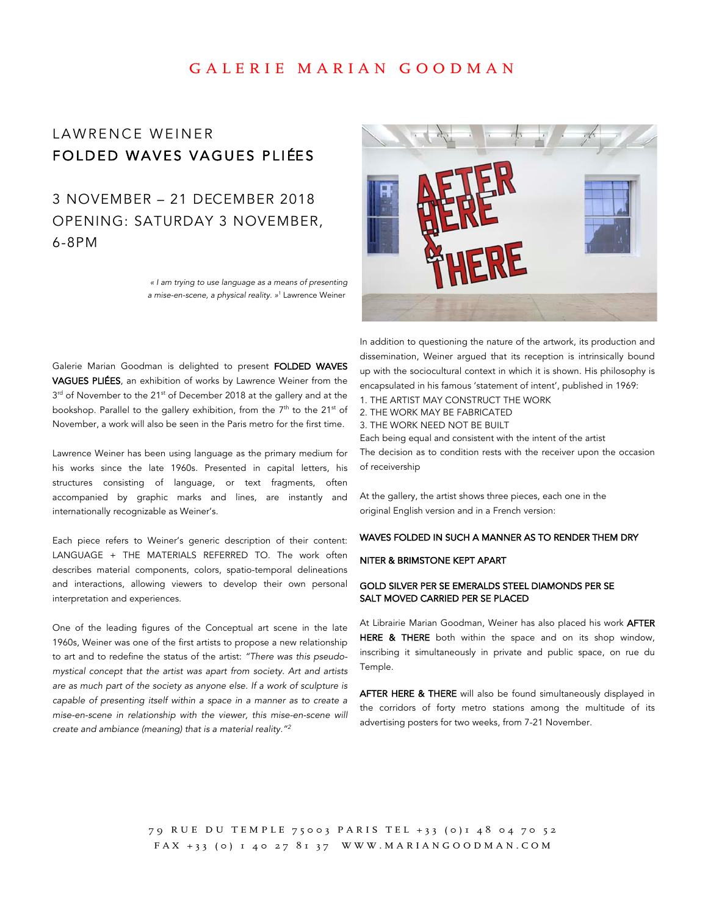## GALERIE MARIAN GOODMAN

# LAWRENCE WEINER FOLDED WAVES VAGUES PLIÉES

3 NOVEMBER – 21 DECEMBER 2018 OPENING: SATURDAY 3 NOVEMBER, 6-8PM

> *« I am trying to use language as a means of presenting a mise-en-scene, a physical reality. »1* Lawrence Weiner



Galerie Marian Goodman is delighted to present FOLDED WAVES VAGUES PLIÉES, an exhibition of works by Lawrence Weiner from the 3<sup>rd</sup> of November to the 21<sup>st</sup> of December 2018 at the gallery and at the bookshop. Parallel to the gallery exhibition, from the  $7<sup>th</sup>$  to the 21<sup>st</sup> of November, a work will also be seen in the Paris metro for the first time.

Lawrence Weiner has been using language as the primary medium for his works since the late 1960s. Presented in capital letters, his structures consisting of language, or text fragments, often accompanied by graphic marks and lines, are instantly and internationally recognizable as Weiner's.

Each piece refers to Weiner's generic description of their content: LANGUAGE + THE MATERIALS REFERRED TO. The work often describes material components, colors, spatio-temporal delineations and interactions, allowing viewers to develop their own personal interpretation and experiences.

One of the leading figures of the Conceptual art scene in the late 1960s, Weiner was one of the first artists to propose a new relationship to art and to redefine the status of the artist: *"There was this pseudomystical concept that the artist was apart from society. Art and artists are as much part of the society as anyone else. If a work of sculpture is capable of presenting itself within a space in a manner as to create a mise-en-scene in relationship with the viewer, this mise-en-scene will create and ambiance (meaning) that is a material reality."<sup>2</sup>*

In addition to questioning the nature of the artwork, its production and dissemination, Weiner argued that its reception is intrinsically bound up with the sociocultural context in which it is shown. His philosophy is encapsulated in his famous 'statement of intent', published in 1969:

- 1. THE ARTIST MAY CONSTRUCT THE WORK
- 2. THE WORK MAY BE FABRICATED
- 3. THE WORK NEED NOT BE BUILT

Each being equal and consistent with the intent of the artist

The decision as to condition rests with the receiver upon the occasion of receivership

At the gallery, the artist shows three pieces, each one in the original English version and in a French version:

#### WAVES FOLDED IN SUCH A MANNER AS TO RENDER THEM DRY

### NITER & BRIMSTONE KEPT APART

#### GOLD SILVER PER SE EMERALDS STEEL DIAMONDS PER SE SALT MOVED CARRIED PER SE PLACED

At Librairie Marian Goodman, Weiner has also placed his work AFTER HERE & THERE both within the space and on its shop window, inscribing it simultaneously in private and public space, on rue du Temple.

AFTER HERE & THERE will also be found simultaneously displayed in the corridors of forty metro stations among the multitude of its advertising posters for two weeks, from 7-21 November.

79 RUE DU TEMPLE 75003 PARIS TEL +33 (0)1 48 04 70 52 FAX + 33 (0) 1 40 27 81 37 WWW.MARIANGOODMAN.COM